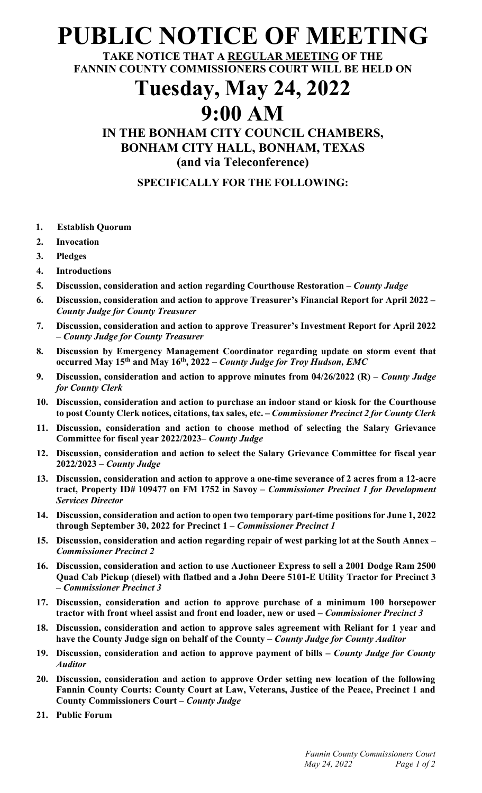# **PUBLIC NOTICE OF MEETING**

**TAKE NOTICE THAT A REGULAR MEETING OF THE FANNIN COUNTY COMMISSIONERS COURT WILL BE HELD ON**

# **Tuesday, May 24, 2022 9:00 AM**

## **IN THE BONHAM CITY COUNCIL CHAMBERS, BONHAM CITY HALL, BONHAM, TEXAS (and via Teleconference)**

### **SPECIFICALLY FOR THE FOLLOWING:**

- **1. Establish Quorum**
- **2. Invocation**
- **3. Pledges**
- **4. Introductions**
- **5. Discussion, consideration and action regarding Courthouse Restoration –** *County Judge*
- **6. Discussion, consideration and action to approve Treasurer's Financial Report for April 2022 –** *County Judge for County Treasurer*
- **7. Discussion, consideration and action to approve Treasurer's Investment Report for April 2022 –** *County Judge for County Treasurer*
- **8. Discussion by Emergency Management Coordinator regarding update on storm event that occurred May 15th and May 16th, 2022 –** *County Judge for Troy Hudson, EMC*
- **9. Discussion, consideration and action to approve minutes from 04/26/2022 (R) –** *County Judge for County Clerk*
- **10. Discussion, consideration and action to purchase an indoor stand or kiosk for the Courthouse to post County Clerk notices, citations, tax sales, etc. –** *Commissioner Precinct 2 for County Clerk*
- **11. Discussion, consideration and action to choose method of selecting the Salary Grievance Committee for fiscal year 2022/2023–** *County Judge*
- **12. Discussion, consideration and action to select the Salary Grievance Committee for fiscal year 2022/2023 –** *County Judge*
- **13. Discussion, consideration and action to approve a one-time severance of 2 acres from a 12-acre tract, Property ID# 109477 on FM 1752 in Savoy –** *Commissioner Precinct 1 for Development Services Director*
- **14. Discussion, consideration and action to open two temporary part-time positions for June 1, 2022 through September 30, 2022 for Precinct 1 –** *Commissioner Precinct 1*
- **15. Discussion, consideration and action regarding repair of west parking lot at the South Annex –** *Commissioner Precinct 2*
- **16. Discussion, consideration and action to use Auctioneer Express to sell a 2001 Dodge Ram 2500 Quad Cab Pickup (diesel) with flatbed and a John Deere 5101-E Utility Tractor for Precinct 3 –** *Commissioner Precinct 3*
- **17. Discussion, consideration and action to approve purchase of a minimum 100 horsepower tractor with front wheel assist and front end loader, new or used –** *Commissioner Precinct 3*
- **18. Discussion, consideration and action to approve sales agreement with Reliant for 1 year and have the County Judge sign on behalf of the County –** *County Judge for County Auditor*
- **19. Discussion, consideration and action to approve payment of bills –** *County Judge for County Auditor*
- **20. Discussion, consideration and action to approve Order setting new location of the following Fannin County Courts: County Court at Law, Veterans, Justice of the Peace, Precinct 1 and County Commissioners Court –** *County Judge*
- **21. Public Forum**